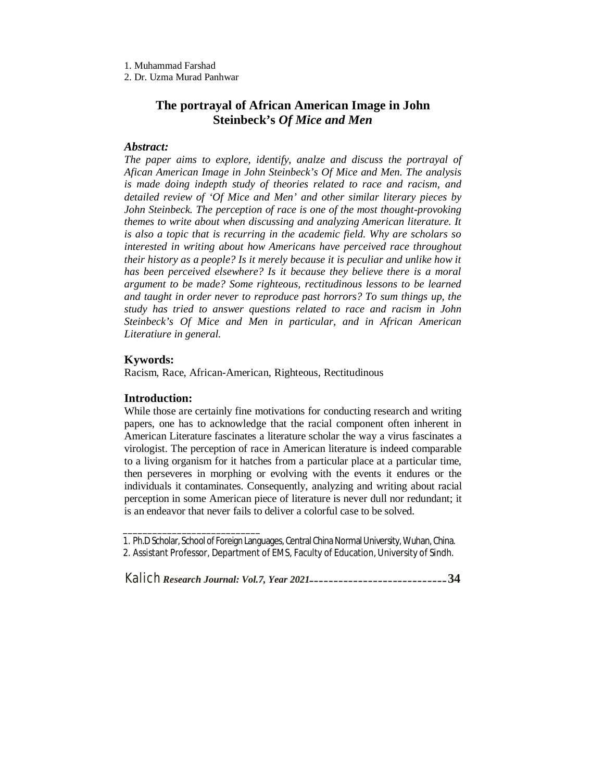1. Muhammad Farshad

2. Dr. Uzma Murad Panhwar

# **The portrayal of African American Image in John Steinbeck's** *Of Mice and Men*

# *Abstract:*

*The paper aims to explore, identify, analze and discuss the portrayal of Afican American Image in John Steinbeck's Of Mice and Men. The analysis is made doing indepth study of theories related to race and racism, and detailed review of 'Of Mice and Men' and other similar literary pieces by John Steinbeck. The perception of race is one of the most thought-provoking themes to write about when discussing and analyzing American literature. It is also a topic that is recurring in the academic field. Why are scholars so interested in writing about how Americans have perceived race throughout their history as a people? Is it merely because it is peculiar and unlike how it has been perceived elsewhere? Is it because they believe there is a moral argument to be made? Some righteous, rectitudinous lessons to be learned and taught in order never to reproduce past horrors? To sum things up, the study has tried to answer questions related to race and racism in John Steinbeck's Of Mice and Men in particular, and in African American Literatiure in general.*

#### **Kywords:**

Racism, Race, African-American, Righteous, Rectitudinous

#### **Introduction:**

\_\_\_\_\_\_\_\_\_\_\_\_\_\_\_\_\_\_\_\_\_\_\_\_\_\_\_\_

While those are certainly fine motivations for conducting research and writing papers, one has to acknowledge that the racial component often inherent in American Literature fascinates a literature scholar the way a virus fascinates a virologist. The perception of race in American literature is indeed comparable to a living organism for it hatches from a particular place at a particular time, then perseveres in morphing or evolving with the events it endures or the individuals it contaminates. Consequently, analyzing and writing about racial perception in some American piece of literature is never dull nor redundant; it is an endeavor that never fails to deliver a colorful case to be solved.

<sup>1.</sup> Ph.D Scholar, School of Foreign Languages, Central China Normal University, Wuhan, China. 2. Assistant Professor, Department of EMS, Faculty of Education, University of Sindh.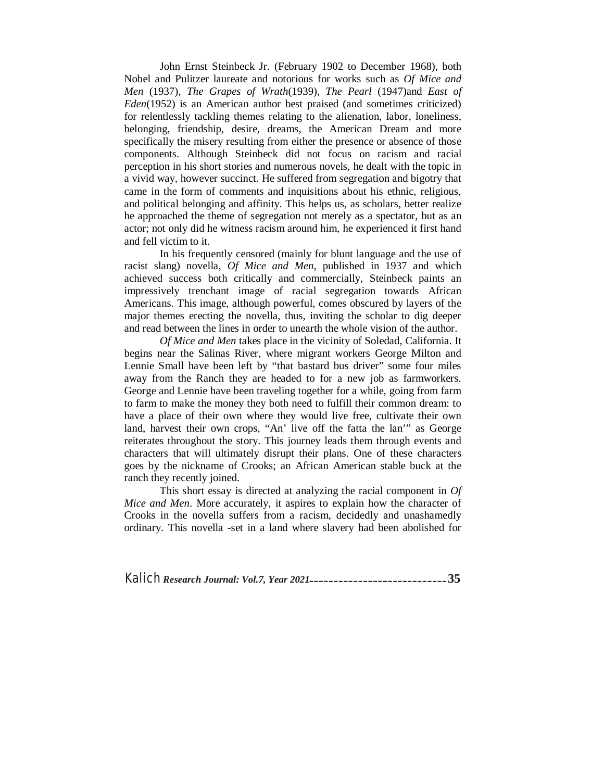John Ernst Steinbeck Jr. (February 1902 to December 1968), both Nobel and Pulitzer laureate and notorious for works such as *Of Mice and Men* (1937)*, The Grapes of Wrath*(1939)*, The Pearl* (1947)and *East of Eden*(1952) is an American author best praised (and sometimes criticized) for relentlessly tackling themes relating to the alienation, labor, loneliness, belonging, friendship, desire, dreams, the American Dream and more specifically the misery resulting from either the presence or absence of those components. Although Steinbeck did not focus on racism and racial perception in his short stories and numerous novels, he dealt with the topic in a vivid way, however succinct. He suffered from segregation and bigotry that came in the form of comments and inquisitions about his ethnic, religious, and political belonging and affinity. This helps us, as scholars, better realize he approached the theme of segregation not merely as a spectator, but as an actor; not only did he witness racism around him, he experienced it first hand and fell victim to it.

In his frequently censored (mainly for blunt language and the use of racist slang) novella, *Of Mice and Men*, published in 1937 and which achieved success both critically and commercially, Steinbeck paints an impressively trenchant image of racial segregation towards African Americans. This image, although powerful, comes obscured by layers of the major themes erecting the novella, thus, inviting the scholar to dig deeper and read between the lines in order to unearth the whole vision of the author.

*Of Mice and Men* takes place in the vicinity of Soledad, California. It begins near the Salinas River, where migrant workers George Milton and Lennie Small have been left by "that bastard bus driver" some four miles away from the Ranch they are headed to for a new job as farmworkers. George and Lennie have been traveling together for a while, going from farm to farm to make the money they both need to fulfill their common dream: to have a place of their own where they would live free, cultivate their own land, harvest their own crops, "An' live off the fatta the lan'" as George reiterates throughout the story. This journey leads them through events and characters that will ultimately disrupt their plans. One of these characters goes by the nickname of Crooks; an African American stable buck at the ranch they recently joined.

This short essay is directed at analyzing the racial component in *Of Mice and Men.* More accurately, it aspires to explain how the character of Crooks in the novella suffers from a racism, decidedly and unashamedly ordinary. This novella -set in a land where slavery had been abolished for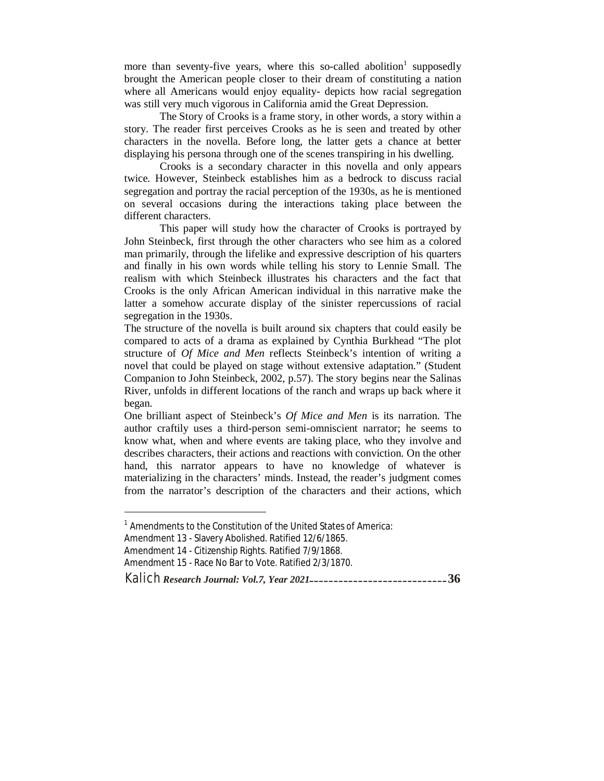more than seventy-five years, where this so-called abolition<sup>1</sup> supposedly brought the American people closer to their dream of constituting a nation where all Americans would enjoy equality- depicts how racial segregation was still very much vigorous in California amid the Great Depression.

The Story of Crooks is a frame story, in other words, a story within a story. The reader first perceives Crooks as he is seen and treated by other characters in the novella. Before long, the latter gets a chance at better displaying his persona through one of the scenes transpiring in his dwelling.

Crooks is a secondary character in this novella and only appears twice. However, Steinbeck establishes him as a bedrock to discuss racial segregation and portray the racial perception of the 1930s, as he is mentioned on several occasions during the interactions taking place between the different characters.

This paper will study how the character of Crooks is portrayed by John Steinbeck, first through the other characters who see him as a colored man primarily, through the lifelike and expressive description of his quarters and finally in his own words while telling his story to Lennie Small. The realism with which Steinbeck illustrates his characters and the fact that Crooks is the only African American individual in this narrative make the latter a somehow accurate display of the sinister repercussions of racial segregation in the 1930s.

The structure of the novella is built around six chapters that could easily be compared to acts of a drama as explained by Cynthia Burkhead "The plot structure of *Of Mice and Men* reflects Steinbeck's intention of writing a novel that could be played on stage without extensive adaptation." (Student Companion to John Steinbeck, 2002, p.57). The story begins near the Salinas River, unfolds in different locations of the ranch and wraps up back where it began.

One brilliant aspect of Steinbeck's *Of Mice and Men* is its narration. The author craftily uses a third-person semi-omniscient narrator; he seems to know what, when and where events are taking place, who they involve and describes characters, their actions and reactions with conviction. On the other hand, this narrator appears to have no knowledge of whatever is materializing in the characters' minds. Instead, the reader's judgment comes from the narrator's description of the characters and their actions, which

 $\overline{a}$ 

<sup>&</sup>lt;sup>1</sup> Amendments to the Constitution of the United States of America:

Amendment 13 - Slavery Abolished. Ratified 12/6/1865.

Amendment 14 - Citizenship Rights. Ratified 7/9/1868.

Amendment 15 - Race No Bar to Vote. Ratified 2/3/1870.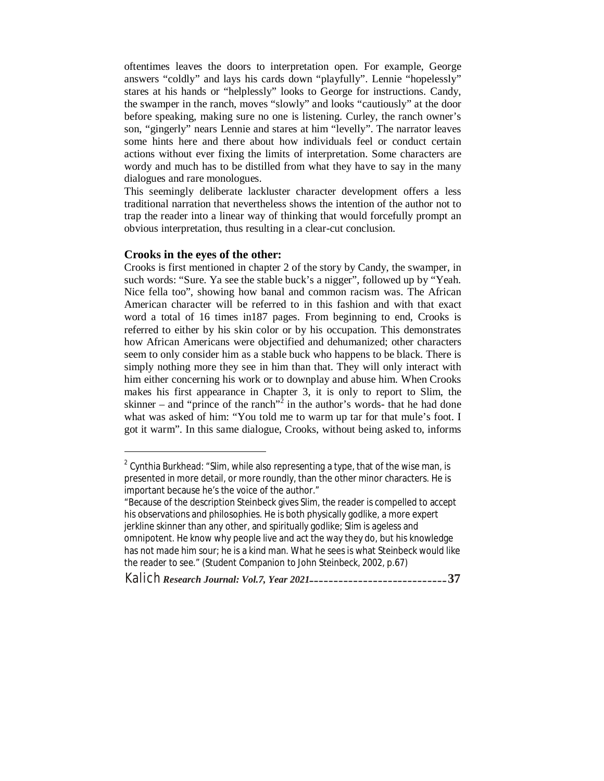oftentimes leaves the doors to interpretation open. For example, George answers "coldly" and lays his cards down "playfully". Lennie "hopelessly" stares at his hands or "helplessly" looks to George for instructions. Candy, the swamper in the ranch, moves "slowly" and looks "cautiously" at the door before speaking, making sure no one is listening. Curley, the ranch owner's son, "gingerly" nears Lennie and stares at him "levelly". The narrator leaves some hints here and there about how individuals feel or conduct certain actions without ever fixing the limits of interpretation. Some characters are wordy and much has to be distilled from what they have to say in the many dialogues and rare monologues.

This seemingly deliberate lackluster character development offers a less traditional narration that nevertheless shows the intention of the author not to trap the reader into a linear way of thinking that would forcefully prompt an obvious interpretation, thus resulting in a clear-cut conclusion.

#### **Crooks in the eyes of the other:**

Crooks is first mentioned in chapter 2 of the story by Candy, the swamper, in such words: "Sure. Ya see the stable buck's a nigger", followed up by "Yeah. Nice fella too", showing how banal and common racism was. The African American character will be referred to in this fashion and with that exact word a total of 16 times in187 pages. From beginning to end, Crooks is referred to either by his skin color or by his occupation. This demonstrates how African Americans were objectified and dehumanized; other characters seem to only consider him as a stable buck who happens to be black. There is simply nothing more they see in him than that. They will only interact with him either concerning his work or to downplay and abuse him. When Crooks makes his first appearance in Chapter 3, it is only to report to Slim, the skinner – and "prince of the ranch"<sup>2</sup> in the author's words- that he had done what was asked of him: "You told me to warm up tar for that mule's foot. I got it warm". In this same dialogue, Crooks, without being asked to, informs

 2 Cynthia Burkhead: "Slim, while also representing a type, that of the wise man, is presented in more detail, or more roundly, than the other minor characters. He is important because he's the voice of the author."

<sup>&</sup>quot;Because of the description Steinbeck gives Slim, the reader is compelled to accept his observations and philosophies. He is both physically godlike, a more expert jerkline skinner than any other, and spiritually godlike; Slim is ageless and omnipotent. He know why people live and act the way they do, but his knowledge has not made him sour; he is a kind man. What he sees is what Steinbeck would like the reader to see." (Student Companion to John Steinbeck, 2002, p.67)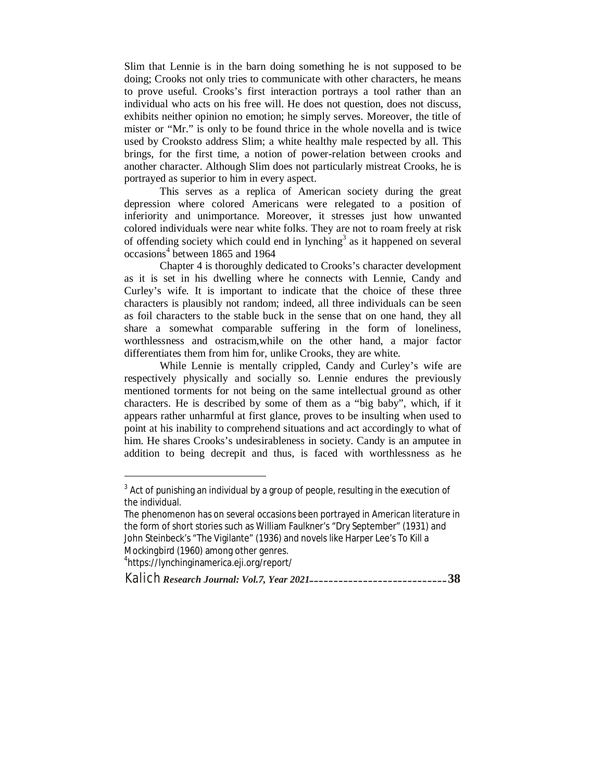Slim that Lennie is in the barn doing something he is not supposed to be doing; Crooks not only tries to communicate with other characters, he means to prove useful. Crooks's first interaction portrays a tool rather than an individual who acts on his free will. He does not question, does not discuss, exhibits neither opinion no emotion; he simply serves. Moreover, the title of mister or "Mr." is only to be found thrice in the whole novella and is twice used by Crooksto address Slim; a white healthy male respected by all. This brings, for the first time, a notion of power-relation between crooks and another character. Although Slim does not particularly mistreat Crooks, he is portrayed as superior to him in every aspect.

This serves as a replica of American society during the great depression where colored Americans were relegated to a position of inferiority and unimportance. Moreover, it stresses just how unwanted colored individuals were near white folks. They are not to roam freely at risk of offending society which could end in lynching<sup>3</sup> as it happened on several occasions<sup>4</sup> between 1865 and 1964

Chapter 4 is thoroughly dedicated to Crooks's character development as it is set in his dwelling where he connects with Lennie, Candy and Curley's wife. It is important to indicate that the choice of these three characters is plausibly not random; indeed, all three individuals can be seen as foil characters to the stable buck in the sense that on one hand, they all share a somewhat comparable suffering in the form of loneliness, worthlessness and ostracism,while on the other hand, a major factor differentiates them from him for, unlike Crooks, they are white.

While Lennie is mentally crippled, Candy and Curley's wife are respectively physically and socially so. Lennie endures the previously mentioned torments for not being on the same intellectual ground as other characters. He is described by some of them as a "big baby", which, if it appears rather unharmful at first glance, proves to be insulting when used to point at his inability to comprehend situations and act accordingly to what of him. He shares Crooks's undesirableness in society. Candy is an amputee in addition to being decrepit and thus, is faced with worthlessness as he

 $\overline{a}$ 

 $^3$  Act of punishing an individual by a group of people, resulting in the execution of the individual.

The phenomenon has on several occasions been portrayed in American literature in the form of short stories such as William Faulkner's "Dry September" (1931) and John Steinbeck's "The Vigilante" (1936) and novels like Harper Lee's *To Kill a Mockingbird* (1960) among other genres. 4 https://lynchinginamerica.eji.org/report/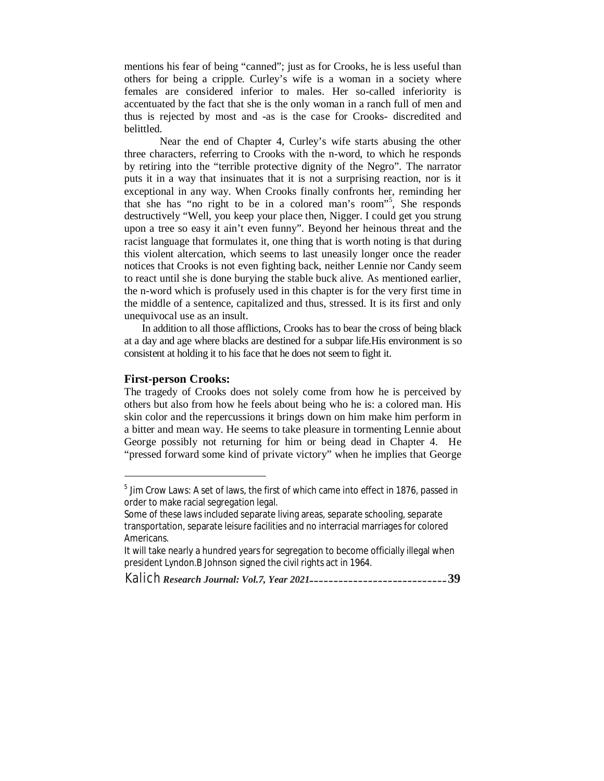mentions his fear of being "canned"; just as for Crooks, he is less useful than others for being a cripple. Curley's wife is a woman in a society where females are considered inferior to males. Her so-called inferiority is accentuated by the fact that she is the only woman in a ranch full of men and thus is rejected by most and -as is the case for Crooks- discredited and belittled.

Near the end of Chapter 4, Curley's wife starts abusing the other three characters, referring to Crooks with the n-word, to which he responds by retiring into the "terrible protective dignity of the Negro". The narrator puts it in a way that insinuates that it is not a surprising reaction, nor is it exceptional in any way. When Crooks finally confronts her, reminding her that she has "no right to be in a colored man's room"<sup>5</sup> , She responds destructively "Well, you keep your place then, Nigger. I could get you strung upon a tree so easy it ain't even funny". Beyond her heinous threat and the racist language that formulates it, one thing that is worth noting is that during this violent altercation, which seems to last uneasily longer once the reader notices that Crooks is not even fighting back, neither Lennie nor Candy seem to react until she is done burying the stable buck alive. As mentioned earlier, the n-word which is profusely used in this chapter is for the very first time in the middle of a sentence, capitalized and thus, stressed. It is its first and only unequivocal use as an insult.

In addition to all those afflictions, Crooks has to bear the cross of being black at a day and age where blacks are destined for a subpar life.His environment is so consistent at holding it to his face that he does not seem to fight it.

#### **First-person Crooks:**

 $\overline{a}$ 

The tragedy of Crooks does not solely come from how he is perceived by others but also from how he feels about being who he is: a colored man. His skin color and the repercussions it brings down on him make him perform in a bitter and mean way. He seems to take pleasure in tormenting Lennie about George possibly not returning for him or being dead in Chapter 4. He "pressed forward some kind of private victory" when he implies that George

 $^5$  Jim Crow Laws: A set of laws, the first of which came into effect in 1876, passed in order to make racial segregation legal.

Some of these laws included separate living areas, separate schooling, separate transportation, separate leisure facilities and no interracial marriages for colored Americans.

It will take nearly a hundred years for segregation to become officially illegal when president Lyndon.B Johnson signed the civil rights act in 1964.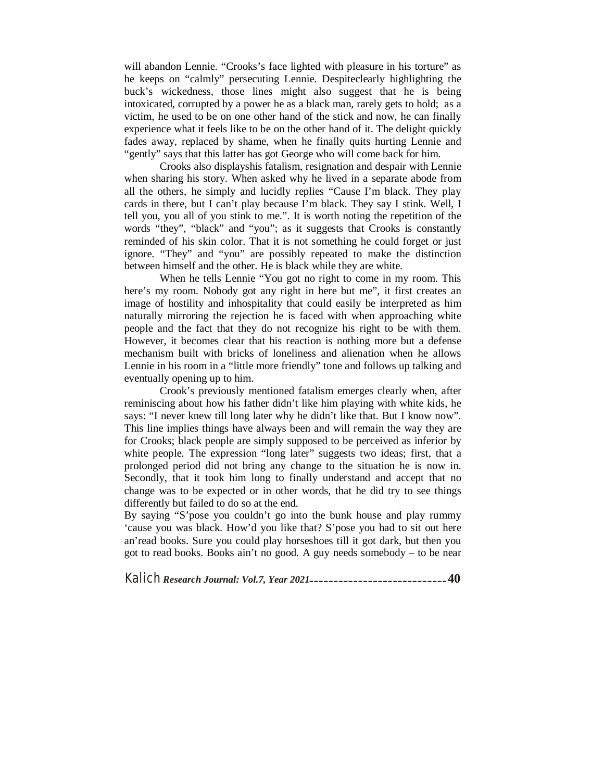will abandon Lennie. "Crooks's face lighted with pleasure in his torture" as he keeps on "calmly" persecuting Lennie. Despiteclearly highlighting the buck's wickedness, those lines might also suggest that he is being intoxicated, corrupted by a power he as a black man, rarely gets to hold; as a victim, he used to be on one other hand of the stick and now, he can finally experience what it feels like to be on the other hand of it. The delight quickly fades away, replaced by shame, when he finally quits hurting Lennie and "gently" says that this latter has got George who will come back for him.

Crooks also displayshis fatalism, resignation and despair with Lennie when sharing his story. When asked why he lived in a separate abode from all the others, he simply and lucidly replies "Cause I'm black. They play cards in there, but I can't play because I'm black. They say I stink. Well, I tell you, you all of you stink to me.". It is worth noting the repetition of the words "they", "black" and "you"; as it suggests that Crooks is constantly reminded of his skin color. That it is not something he could forget or just ignore. "They" and "you" are possibly repeated to make the distinction between himself and the other. He is black while they are white.

When he tells Lennie "You got no right to come in my room. This here's my room. Nobody got any right in here but me", it first creates an image of hostility and inhospitality that could easily be interpreted as him naturally mirroring the rejection he is faced with when approaching white people and the fact that they do not recognize his right to be with them. However, it becomes clear that his reaction is nothing more but a defense mechanism built with bricks of loneliness and alienation when he allows Lennie in his room in a "little more friendly" tone and follows up talking and eventually opening up to him.

Crook's previously mentioned fatalism emerges clearly when, after reminiscing about how his father didn't like him playing with white kids, he says: "I never knew till long later why he didn't like that. But I know now". This line implies things have always been and will remain the way they are for Crooks; black people are simply supposed to be perceived as inferior by white people. The expression "long later" suggests two ideas; first, that a prolonged period did not bring any change to the situation he is now in. Secondly, that it took him long to finally understand and accept that no change was to be expected or in other words, that he did try to see things differently but failed to do so at the end.

By saying "S'pose you couldn't go into the bunk house and play rummy 'cause you was black. How'd you like that? S'pose you had to sit out here an'read books. Sure you could play horseshoes till it got dark, but then you got to read books. Books ain't no good. A guy needs somebody – to be near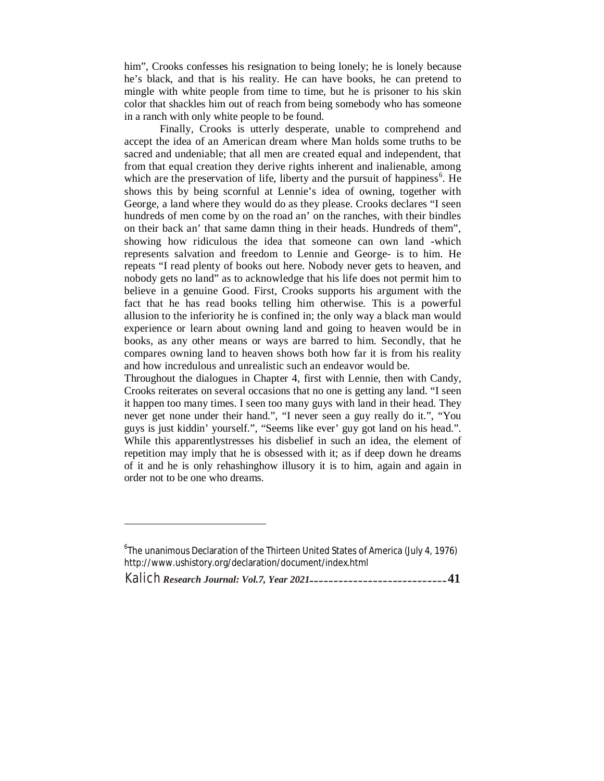him", Crooks confesses his resignation to being lonely; he is lonely because he's black, and that is his reality. He can have books, he can pretend to mingle with white people from time to time, but he is prisoner to his skin color that shackles him out of reach from being somebody who has someone in a ranch with only white people to be found.

Finally, Crooks is utterly desperate, unable to comprehend and accept the idea of an American dream where Man holds some truths to be sacred and undeniable; that all men are created equal and independent, that from that equal creation they derive rights inherent and inalienable, among which are the preservation of life, liberty and the pursuit of happiness<sup>6</sup>. He shows this by being scornful at Lennie's idea of owning, together with George, a land where they would do as they please. Crooks declares "I seen hundreds of men come by on the road an' on the ranches, with their bindles on their back an' that same damn thing in their heads. Hundreds of them", showing how ridiculous the idea that someone can own land -which represents salvation and freedom to Lennie and George- is to him. He repeats "I read plenty of books out here. Nobody never gets to heaven, and nobody gets no land" as to acknowledge that his life does not permit him to believe in a genuine Good. First, Crooks supports his argument with the fact that he has read books telling him otherwise. This is a powerful allusion to the inferiority he is confined in; the only way a black man would experience or learn about owning land and going to heaven would be in books, as any other means or ways are barred to him. Secondly, that he compares owning land to heaven shows both how far it is from his reality and how incredulous and unrealistic such an endeavor would be.

Throughout the dialogues in Chapter 4, first with Lennie, then with Candy, Crooks reiterates on several occasions that no one is getting any land. "I seen it happen too many times. I seen too many guys with land in their head. They never get none under their hand.", "I never seen a guy really do it.", "You guys is just kiddin' yourself.", "Seems like ever' guy got land on his head.". While this apparentlystresses his disbelief in such an idea, the element of repetition may imply that he is obsessed with it; as if deep down he dreams of it and he is only rehashinghow illusory it is to him, again and again in order not to be one who dreams.

 $\overline{a}$ 

 $^6$ The unanimous Declaration of the Thirteen United States of America (July 4, 1976) http://www.ushistory.org/declaration/document/index.html

Kalich *Research Journal: Vol.7, Year 2021***\_\_\_\_\_\_\_\_\_\_\_\_\_\_\_\_\_\_\_\_\_\_\_\_\_\_\_\_41**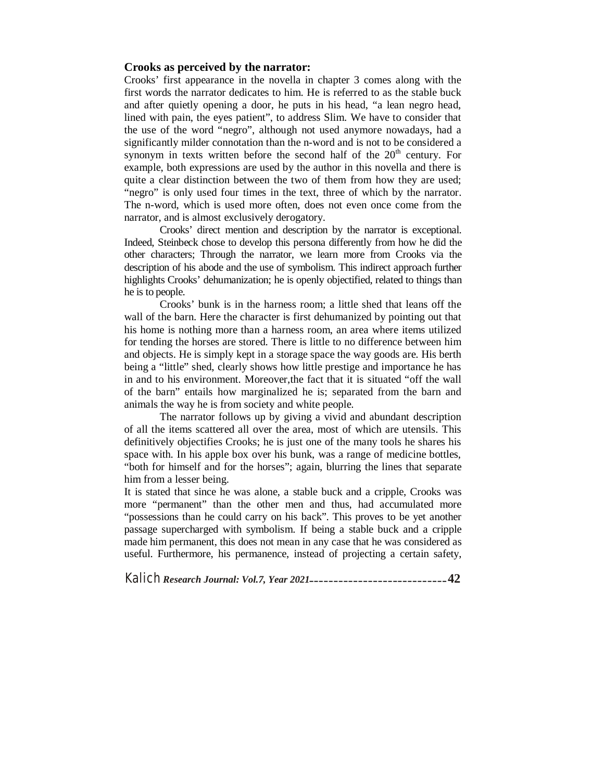# **Crooks as perceived by the narrator:**

Crooks' first appearance in the novella in chapter 3 comes along with the first words the narrator dedicates to him. He is referred to as the stable buck and after quietly opening a door, he puts in his head, "a lean negro head, lined with pain, the eyes patient", to address Slim. We have to consider that the use of the word "negro", although not used anymore nowadays, had a significantly milder connotation than the n-word and is not to be considered a synonym in texts written before the second half of the  $20<sup>th</sup>$  century. For example, both expressions are used by the author in this novella and there is quite a clear distinction between the two of them from how they are used; "negro" is only used four times in the text, three of which by the narrator. The n-word, which is used more often, does not even once come from the narrator, and is almost exclusively derogatory.

Crooks' direct mention and description by the narrator is exceptional. Indeed, Steinbeck chose to develop this persona differently from how he did the other characters; Through the narrator, we learn more from Crooks via the description of his abode and the use of symbolism. This indirect approach further highlights Crooks' dehumanization; he is openly objectified, related to things than he is to people.

Crooks' bunk is in the harness room; a little shed that leans off the wall of the barn. Here the character is first dehumanized by pointing out that his home is nothing more than a harness room, an area where items utilized for tending the horses are stored. There is little to no difference between him and objects. He is simply kept in a storage space the way goods are. His berth being a "little" shed, clearly shows how little prestige and importance he has in and to his environment. Moreover,the fact that it is situated "off the wall of the barn" entails how marginalized he is; separated from the barn and animals the way he is from society and white people.

The narrator follows up by giving a vivid and abundant description of all the items scattered all over the area, most of which are utensils. This definitively objectifies Crooks; he is just one of the many tools he shares his space with. In his apple box over his bunk, was a range of medicine bottles, "both for himself and for the horses"; again, blurring the lines that separate him from a lesser being.

It is stated that since he was alone, a stable buck and a cripple, Crooks was more "permanent" than the other men and thus, had accumulated more "possessions than he could carry on his back". This proves to be yet another passage supercharged with symbolism. If being a stable buck and a cripple made him permanent, this does not mean in any case that he was considered as useful. Furthermore, his permanence, instead of projecting a certain safety,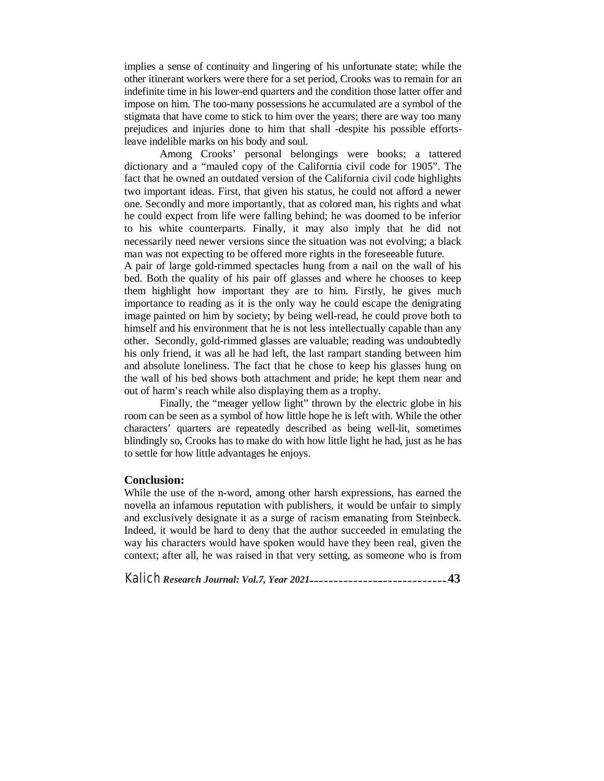implies a sense of continuity and lingering of his unfortunate state; while the other itinerant workers were there for a set period, Crooks was to remain for an indefinite time in his lower-end quarters and the condition those latter offer and impose on him. The too-many possessions he accumulated are a symbol of the stigmata that have come to stick to him over the years; there are way too many prejudices and injuries done to him that shall -despite his possible effortsleave indelible marks on his body and soul.

Among Crooks' personal belongings were books; a tattered dictionary and a "mauled copy of the California civil code for 1905". The fact that he owned an outdated version of the California civil code highlights two important ideas. First, that given his status, he could not afford a newer one. Secondly and more importantly, that as colored man, his rights and what he could expect from life were falling behind; he was doomed to be inferior to his white counterparts. Finally, it may also imply that he did not necessarily need newer versions since the situation was not evolving; a black man was not expecting to be offered more rights in the foreseeable future.

A pair of large gold-rimmed spectacles hung from a nail on the wall of his bed. Both the quality of his pair off glasses and where he chooses to keep them highlight how important they are to him. Firstly, he gives much importance to reading as it is the only way he could escape the denigrating image painted on him by society; by being well-read, he could prove both to himself and his environment that he is not less intellectually capable than any other. Secondly, gold-rimmed glasses are valuable; reading was undoubtedly his only friend, it was all he had left, the last rampart standing between him and absolute loneliness. The fact that he chose to keep his glasses hung on the wall of his bed shows both attachment and pride; he kept them near and out of harm's reach while also displaying them as a trophy.

Finally, the "meager yellow light" thrown by the electric globe in his room can be seen as a symbol of how little hope he is left with. While the other characters' quarters are repeatedly described as being well-lit, sometimes blindingly so, Crooks has to make do with how little light he had, just as he has to settle for how little advantages he enjoys.

# **Conclusion:**

While the use of the n-word, among other harsh expressions, has earned the novella an infamous reputation with publishers, it would be unfair to simply and exclusively designate it as a surge of racism emanating from Steinbeck. Indeed, it would be hard to deny that the author succeeded in emulating the way his characters would have spoken would have they been real, given the context; after all, he was raised in that very setting, as someone who is from